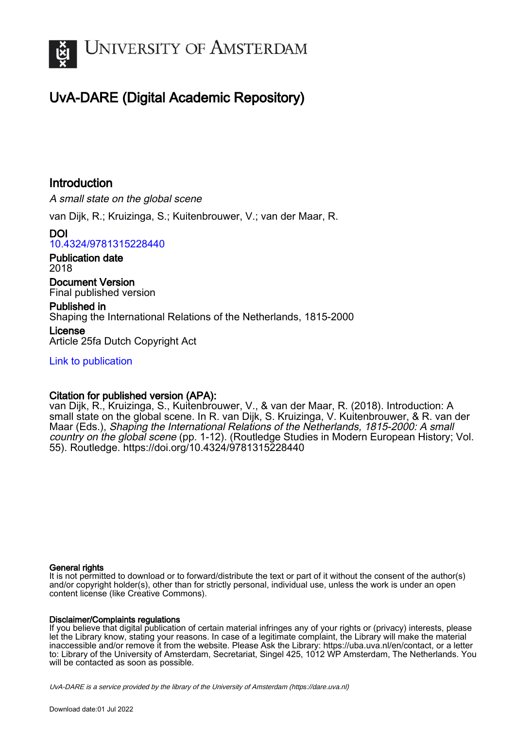

# UvA-DARE (Digital Academic Repository)

### Introduction

A small state on the global scene

van Dijk, R.; Kruizinga, S.; Kuitenbrouwer, V.; van der Maar, R.

DOI [10.4324/9781315228440](https://doi.org/10.4324/9781315228440)

Publication date 2018

Document Version Final published version

Published in Shaping the International Relations of the Netherlands, 1815-2000 License

Article 25fa Dutch Copyright Act

[Link to publication](https://dare.uva.nl/personal/pure/en/publications/introduction(3eb44caa-2252-474b-a96d-9b3d36c26a71).html)

### Citation for published version (APA):

van Dijk, R., Kruizinga, S., Kuitenbrouwer, V., & van der Maar, R. (2018). Introduction: A small state on the global scene. In R. van Dijk, S. Kruizinga, V. Kuitenbrouwer, & R. van der Maar (Eds.), Shaping the International Relations of the Netherlands, 1815-2000: A small country on the global scene (pp. 1-12). (Routledge Studies in Modern European History; Vol. 55). Routledge.<https://doi.org/10.4324/9781315228440>

### General rights

It is not permitted to download or to forward/distribute the text or part of it without the consent of the author(s) and/or copyright holder(s), other than for strictly personal, individual use, unless the work is under an open content license (like Creative Commons).

### Disclaimer/Complaints regulations

If you believe that digital publication of certain material infringes any of your rights or (privacy) interests, please let the Library know, stating your reasons. In case of a legitimate complaint, the Library will make the material inaccessible and/or remove it from the website. Please Ask the Library: https://uba.uva.nl/en/contact, or a letter to: Library of the University of Amsterdam, Secretariat, Singel 425, 1012 WP Amsterdam, The Netherlands. You will be contacted as soon as possible.

UvA-DARE is a service provided by the library of the University of Amsterdam (http*s*://dare.uva.nl)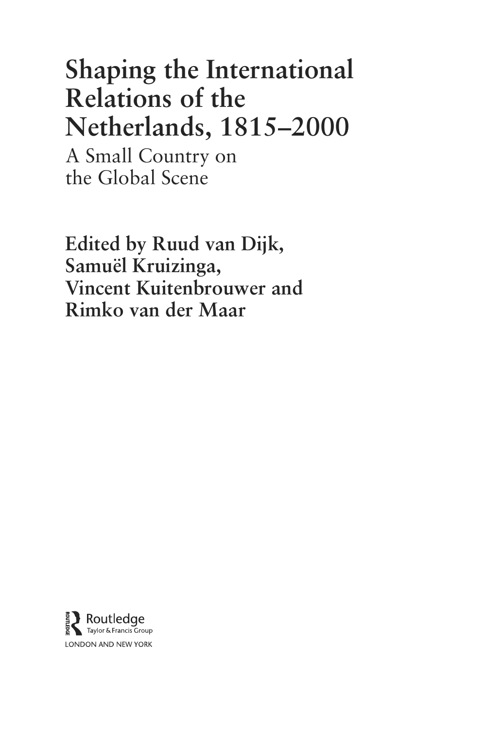# **Shaping the International Relations of the Netherlands, 1815–2000**

A Small Country on the Global Scene

**Edited by Ruud van Dijk, Samuël Kruizinga, Vincent Kuitenbrouwer and Rimko van der Maar**

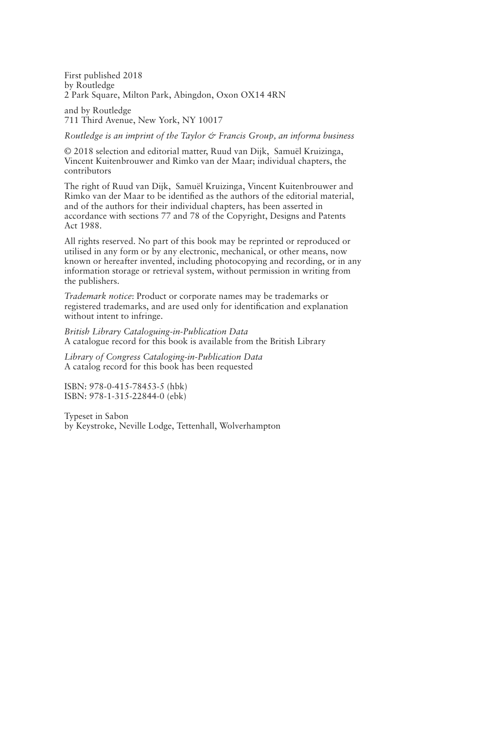First published 2018 by Routledge 2 Park Square, Milton Park, Abingdon, Oxon OX14 4RN

and by Routledge 711 Third Avenue, New York, NY 10017

*Routledge is an imprint of the Taylor & Francis Group, an informa business*

© 2018 selection and editorial matter, Ruud van Dijk, Samuël Kruizinga, Vincent Kuitenbrouwer and Rimko van der Maar; individual chapters, the contributors

The right of Ruud van Dijk, Samuël Kruizinga, Vincent Kuitenbrouwer and Rimko van der Maar to be identified as the authors of the editorial material, and of the authors for their individual chapters, has been asserted in accordance with sections 77 and 78 of the Copyright, Designs and Patents Act 1988.

All rights reserved. No part of this book may be reprinted or reproduced or utilised in any form or by any electronic, mechanical, or other means, now known or hereafter invented, including photocopying and recording, or in any information storage or retrieval system, without permission in writing from the publishers.

*Trademark notice*: Product or corporate names may be trademarks or registered trademarks, and are used only for identification and explanation without intent to infringe.

*British Library Cataloguing-in-Publication Data* A catalogue record for this book is available from the British Library

*Library of Congress Cataloging-in-Publication Data* A catalog record for this book has been requested

ISBN: 978-0-415-78453-5 (hbk) ISBN: 978-1-315-22844-0 (ebk)

Typeset in Sabon by Keystroke, Neville Lodge, Tettenhall, Wolverhampton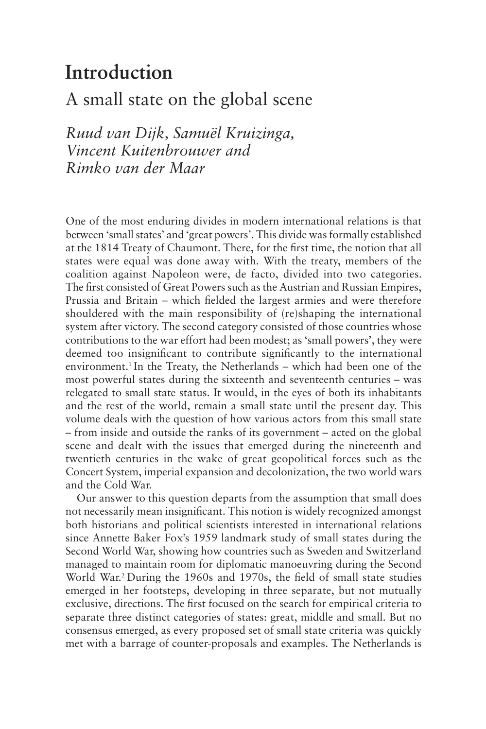## **Introduction**

### A small state on the global scene

*Ruud van Dijk, Samuël Kruizinga, Vincent Kuitenbrouwer and Rimko van der Maar*

One of the most enduring divides in modern international relations is that between 'small states' and 'great powers'. This divide was formally established at the 1814 Treaty of Chaumont. There, for the first time, the notion that all states were equal was done away with. With the treaty, members of the coalition against Napoleon were, de facto, divided into two categories. The first consisted of Great Powers such as the Austrian and Russian Empires, Prussia and Britain – which fielded the largest armies and were therefore shouldered with the main responsibility of (re)shaping the international system after victory. The second category consisted of those countries whose contributions to the war effort had been modest; as 'small powers', they were deemed too insignificant to contribute significantly to the international environment.<sup>1</sup> In the Treaty, the Netherlands – which had been one of the most powerful states during the sixteenth and seventeenth centuries – was relegated to small state status. It would, in the eyes of both its inhabitants and the rest of the world, remain a small state until the present day. This volume deals with the question of how various actors from this small state – from inside and outside the ranks of its government – acted on the global scene and dealt with the issues that emerged during the nineteenth and twentieth centuries in the wake of great geopolitical forces such as the Concert System, imperial expansion and decolonization, the two world wars and the Cold War.

Our answer to this question departs from the assumption that small does not necessarily mean insignificant. This notion is widely recognized amongst both historians and political scientists interested in international relations since Annette Baker Fox's 1959 landmark study of small states during the Second World War, showing how countries such as Sweden and Switzerland managed to maintain room for diplomatic manoeuvring during the Second World War.2 During the 1960s and 1970s, the field of small state studies emerged in her footsteps, developing in three separate, but not mutually exclusive, directions. The first focused on the search for empirical criteria to separate three distinct categories of states: great, middle and small. But no consensus emerged, as every proposed set of small state criteria was quickly met with a barrage of counter-proposals and examples. The Netherlands is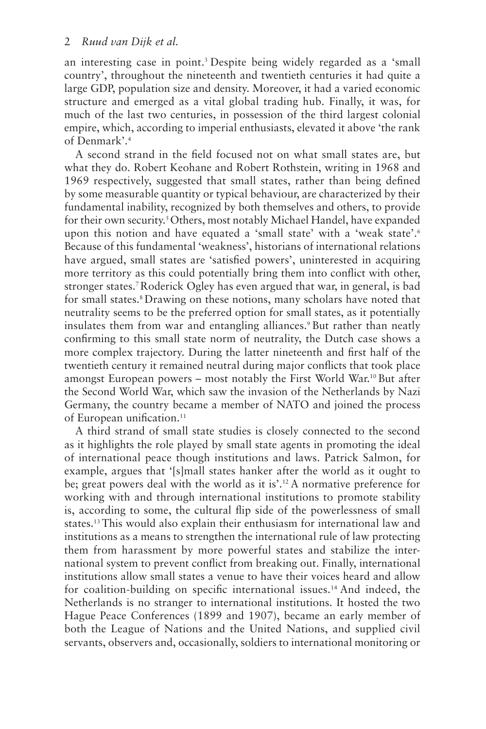an interesting case in point.3 Despite being widely regarded as a 'small country', throughout the nineteenth and twentieth centuries it had quite a large GDP, population size and density. Moreover, it had a varied economic structure and emerged as a vital global trading hub. Finally, it was, for much of the last two centuries, in possession of the third largest colonial empire, which, according to imperial enthusiasts, elevated it above 'the rank of Denmark'.4

A second strand in the field focused not on what small states are, but what they do. Robert Keohane and Robert Rothstein, writing in 1968 and 1969 respectively, suggested that small states, rather than being defined by some measurable quantity or typical behaviour, are characterized by their fundamental inability, recognized by both themselves and others, to provide for their own security.<sup>5</sup> Others, most notably Michael Handel, have expanded upon this notion and have equated a 'small state' with a 'weak state'.<sup>6</sup> Because of this fundamental 'weakness', historians of international relations have argued, small states are 'satisfied powers', uninterested in acquiring more territory as this could potentially bring them into conflict with other, stronger states.7 Roderick Ogley has even argued that war, in general, is bad for small states.8 Drawing on these notions, many scholars have noted that neutrality seems to be the preferred option for small states, as it potentially insulates them from war and entangling alliances.<sup>9</sup> But rather than neatly confirming to this small state norm of neutrality, the Dutch case shows a more complex trajectory. During the latter nineteenth and first half of the twentieth century it remained neutral during major conflicts that took place amongst European powers – most notably the First World War.10 But after the Second World War, which saw the invasion of the Netherlands by Nazi Germany, the country became a member of NATO and joined the process of European unification.<sup>11</sup>

A third strand of small state studies is closely connected to the second as it highlights the role played by small state agents in promoting the ideal of international peace though institutions and laws. Patrick Salmon, for example, argues that '[s]mall states hanker after the world as it ought to be; great powers deal with the world as it is'.12 A normative preference for working with and through international institutions to promote stability is, according to some, the cultural flip side of the powerlessness of small states.13 This would also explain their enthusiasm for international law and institutions as a means to strengthen the international rule of law protecting them from harassment by more powerful states and stabilize the international system to prevent conflict from breaking out. Finally, international institutions allow small states a venue to have their voices heard and allow for coalition-building on specific international issues.14 And indeed, the Netherlands is no stranger to international institutions. It hosted the two Hague Peace Conferences (1899 and 1907), became an early member of both the League of Nations and the United Nations, and supplied civil servants, observers and, occasionally, soldiers to international monitoring or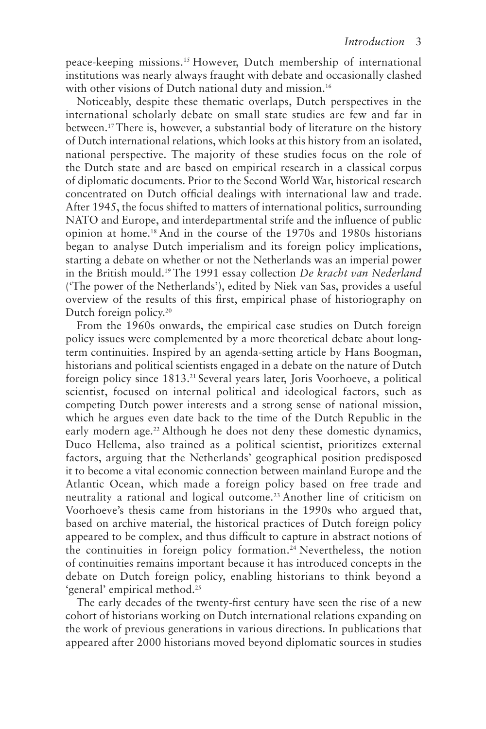peace-keeping missions.15 However, Dutch membership of international institutions was nearly always fraught with debate and occasionally clashed with other visions of Dutch national duty and mission.<sup>16</sup>

Noticeably, despite these thematic overlaps, Dutch perspectives in the international scholarly debate on small state studies are few and far in between.17 There is, however, a substantial body of literature on the history of Dutch international relations, which looks at this history from an isolated, national perspective. The majority of these studies focus on the role of the Dutch state and are based on empirical research in a classical corpus of diplomatic documents. Prior to the Second World War, historical research concentrated on Dutch official dealings with international law and trade. After 1945, the focus shifted to matters of international politics, surrounding NATO and Europe, and interdepartmental strife and the influence of public opinion at home.18 And in the course of the 1970s and 1980s historians began to analyse Dutch imperialism and its foreign policy implications, starting a debate on whether or not the Netherlands was an imperial power in the British mould.19 The 1991 essay collection *De kracht van Nederland* ('The power of the Netherlands'), edited by Niek van Sas, provides a useful overview of the results of this first, empirical phase of historiography on Dutch foreign policy.20

From the 1960s onwards, the empirical case studies on Dutch foreign policy issues were complemented by a more theoretical debate about longterm continuities. Inspired by an agenda-setting article by Hans Boogman, historians and political scientists engaged in a debate on the nature of Dutch foreign policy since 1813.<sup>21</sup> Several years later, Joris Voorhoeve, a political scientist, focused on internal political and ideological factors, such as competing Dutch power interests and a strong sense of national mission, which he argues even date back to the time of the Dutch Republic in the early modern age.<sup>22</sup> Although he does not deny these domestic dynamics, Duco Hellema, also trained as a political scientist, prioritizes external factors, arguing that the Netherlands' geographical position predisposed it to become a vital economic connection between mainland Europe and the Atlantic Ocean, which made a foreign policy based on free trade and neutrality a rational and logical outcome.23 Another line of criticism on Voorhoeve's thesis came from historians in the 1990s who argued that, based on archive material, the historical practices of Dutch foreign policy appeared to be complex, and thus difficult to capture in abstract notions of the continuities in foreign policy formation.24 Nevertheless, the notion of continuities remains important because it has introduced concepts in the debate on Dutch foreign policy, enabling historians to think beyond a 'general' empirical method.25

The early decades of the twenty-first century have seen the rise of a new cohort of historians working on Dutch international relations expanding on the work of previous generations in various directions. In publications that appeared after 2000 historians moved beyond diplomatic sources in studies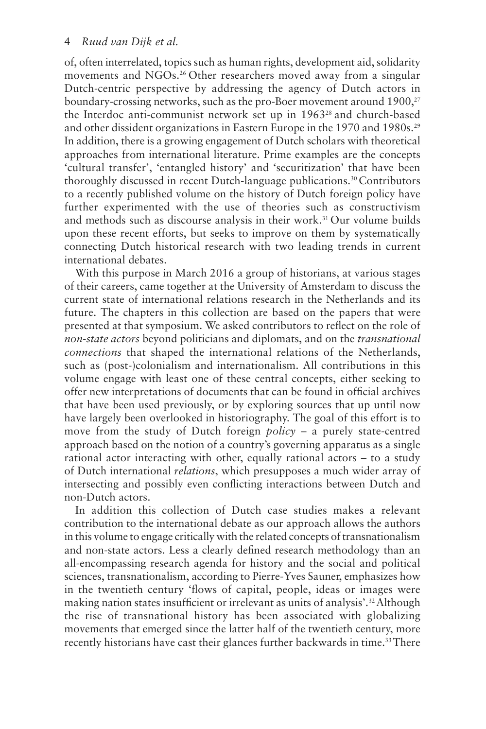#### 4 *Ruud van Dijk et al.*

of, often interrelated, topics such as human rights, development aid, solidarity movements and NGOs.<sup>26</sup> Other researchers moved away from a singular Dutch-centric perspective by addressing the agency of Dutch actors in boundary-crossing networks, such as the pro-Boer movement around 1900,<sup>27</sup> the Interdoc anti-communist network set up in 1963<sup>28</sup> and church-based and other dissident organizations in Eastern Europe in the 1970 and 1980s.<sup>29</sup> In addition, there is a growing engagement of Dutch scholars with theoretical approaches from international literature. Prime examples are the concepts 'cultural transfer', 'entangled history' and 'securitization' that have been thoroughly discussed in recent Dutch-language publications.30 Contributors to a recently published volume on the history of Dutch foreign policy have further experimented with the use of theories such as constructivism and methods such as discourse analysis in their work.31 Our volume builds upon these recent efforts, but seeks to improve on them by systematically connecting Dutch historical research with two leading trends in current international debates.

With this purpose in March 2016 a group of historians, at various stages of their careers, came together at the University of Amsterdam to discuss the current state of international relations research in the Netherlands and its future. The chapters in this collection are based on the papers that were presented at that symposium. We asked contributors to reflect on the role of *non-state actors* beyond politicians and diplomats, and on the *transnational connections* that shaped the international relations of the Netherlands, such as (post-)colonialism and internationalism. All contributions in this volume engage with least one of these central concepts, either seeking to offer new interpretations of documents that can be found in official archives that have been used previously, or by exploring sources that up until now have largely been overlooked in historiography. The goal of this effort is to move from the study of Dutch foreign *policy* – a purely state-centred approach based on the notion of a country's governing apparatus as a single rational actor interacting with other, equally rational actors – to a study of Dutch international *relations*, which presupposes a much wider array of intersecting and possibly even conflicting interactions between Dutch and non-Dutch actors.

In addition this collection of Dutch case studies makes a relevant contribution to the international debate as our approach allows the authors in this volume to engage critically with the related concepts of transnationalism and non-state actors. Less a clearly defined research methodology than an all-encompassing research agenda for history and the social and political sciences, transnationalism, according to Pierre-Yves Sauner, emphasizes how in the twentieth century 'flows of capital, people, ideas or images were making nation states insufficient or irrelevant as units of analysis'.32 Although the rise of transnational history has been associated with globalizing movements that emerged since the latter half of the twentieth century, more recently historians have cast their glances further backwards in time.<sup>33</sup> There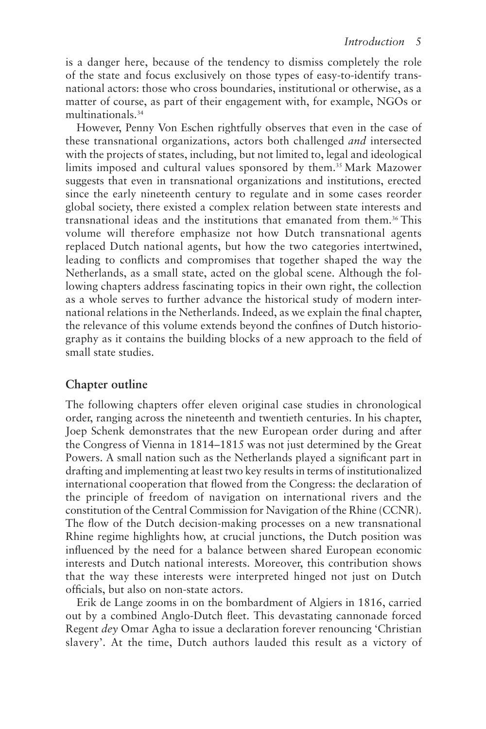is a danger here, because of the tendency to dismiss completely the role of the state and focus exclusively on those types of easy-to-identify transnational actors: those who cross boundaries, institutional or otherwise, as a matter of course, as part of their engagement with, for example, NGOs or multinationals.34

However, Penny Von Eschen rightfully observes that even in the case of these transnational organizations, actors both challenged *and* intersected with the projects of states, including, but not limited to, legal and ideological limits imposed and cultural values sponsored by them.<sup>35</sup> Mark Mazower suggests that even in transnational organizations and institutions, erected since the early nineteenth century to regulate and in some cases reorder global society, there existed a complex relation between state interests and transnational ideas and the institutions that emanated from them.36 This volume will therefore emphasize not how Dutch transnational agents replaced Dutch national agents, but how the two categories intertwined, leading to conflicts and compromises that together shaped the way the Netherlands, as a small state, acted on the global scene. Although the following chapters address fascinating topics in their own right, the collection as a whole serves to further advance the historical study of modern international relations in the Netherlands. Indeed, as we explain the final chapter, the relevance of this volume extends beyond the confines of Dutch historiography as it contains the building blocks of a new approach to the field of small state studies.

### **Chapter outline**

The following chapters offer eleven original case studies in chronological order, ranging across the nineteenth and twentieth centuries. In his chapter, Joep Schenk demonstrates that the new European order during and after the Congress of Vienna in 1814–1815 was not just determined by the Great Powers. A small nation such as the Netherlands played a significant part in drafting and implementing at least two key results in terms of institutionalized international cooperation that flowed from the Congress: the declaration of the principle of freedom of navigation on international rivers and the constitution of the Central Commission for Navigation of the Rhine (CCNR). The flow of the Dutch decision-making processes on a new transnational Rhine regime highlights how, at crucial junctions, the Dutch position was influenced by the need for a balance between shared European economic interests and Dutch national interests. Moreover, this contribution shows that the way these interests were interpreted hinged not just on Dutch officials, but also on non-state actors.

Erik de Lange zooms in on the bombardment of Algiers in 1816, carried out by a combined Anglo-Dutch fleet. This devastating cannonade forced Regent *dey* Omar Agha to issue a declaration forever renouncing 'Christian slavery'. At the time, Dutch authors lauded this result as a victory of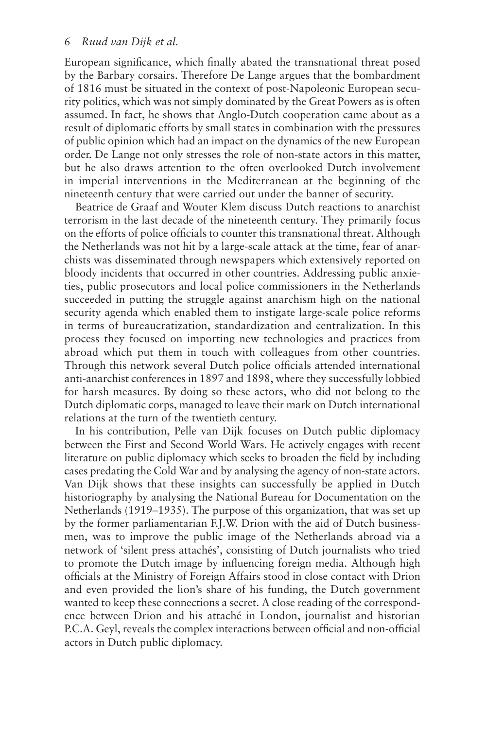European significance, which finally abated the transnational threat posed by the Barbary corsairs. Therefore De Lange argues that the bombardment of 1816 must be situated in the context of post-Napoleonic European security politics, which was not simply dominated by the Great Powers as is often assumed. In fact, he shows that Anglo-Dutch cooperation came about as a result of diplomatic efforts by small states in combination with the pressures of public opinion which had an impact on the dynamics of the new European order. De Lange not only stresses the role of non-state actors in this matter, but he also draws attention to the often overlooked Dutch involvement in imperial interventions in the Mediterranean at the beginning of the nineteenth century that were carried out under the banner of security.

Beatrice de Graaf and Wouter Klem discuss Dutch reactions to anarchist terrorism in the last decade of the nineteenth century. They primarily focus on the efforts of police officials to counter this transnational threat. Although the Netherlands was not hit by a large-scale attack at the time, fear of anarchists was disseminated through newspapers which extensively reported on bloody incidents that occurred in other countries. Addressing public anxieties, public prosecutors and local police commissioners in the Netherlands succeeded in putting the struggle against anarchism high on the national security agenda which enabled them to instigate large-scale police reforms in terms of bureaucratization, standardization and centralization. In this process they focused on importing new technologies and practices from abroad which put them in touch with colleagues from other countries. Through this network several Dutch police officials attended international anti-anarchist conferences in 1897 and 1898, where they successfully lobbied for harsh measures. By doing so these actors, who did not belong to the Dutch diplomatic corps, managed to leave their mark on Dutch international relations at the turn of the twentieth century.

In his contribution, Pelle van Dijk focuses on Dutch public diplomacy between the First and Second World Wars. He actively engages with recent literature on public diplomacy which seeks to broaden the field by including cases predating the Cold War and by analysing the agency of non-state actors. Van Dijk shows that these insights can successfully be applied in Dutch historiography by analysing the National Bureau for Documentation on the Netherlands (1919–1935). The purpose of this organization, that was set up by the former parliamentarian F.J.W. Drion with the aid of Dutch businessmen, was to improve the public image of the Netherlands abroad via a network of 'silent press attachés', consisting of Dutch journalists who tried to promote the Dutch image by influencing foreign media. Although high officials at the Ministry of Foreign Affairs stood in close contact with Drion and even provided the lion's share of his funding, the Dutch government wanted to keep these connections a secret. A close reading of the correspondence between Drion and his attaché in London, journalist and historian P.C.A. Geyl, reveals the complex interactions between official and non-official actors in Dutch public diplomacy.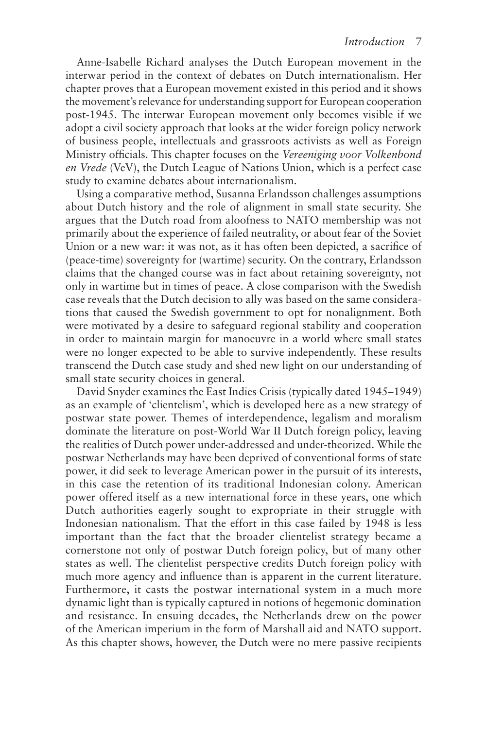Anne-Isabelle Richard analyses the Dutch European movement in the interwar period in the context of debates on Dutch internationalism. Her chapter proves that a European movement existed in this period and it shows the movement's relevance for understanding support for European cooperation post-1945. The interwar European movement only becomes visible if we adopt a civil society approach that looks at the wider foreign policy network of business people, intellectuals and grassroots activists as well as Foreign Ministry officials. This chapter focuses on the *Vereeniging voor Volkenbond en Vrede* (VeV), the Dutch League of Nations Union, which is a perfect case study to examine debates about internationalism.

Using a comparative method, Susanna Erlandsson challenges assumptions about Dutch history and the role of alignment in small state security. She argues that the Dutch road from aloofness to NATO membership was not primarily about the experience of failed neutrality, or about fear of the Soviet Union or a new war: it was not, as it has often been depicted, a sacrifice of (peace-time) sovereignty for (wartime) security. On the contrary, Erlandsson claims that the changed course was in fact about retaining sovereignty, not only in wartime but in times of peace. A close comparison with the Swedish case reveals that the Dutch decision to ally was based on the same considerations that caused the Swedish government to opt for nonalignment. Both were motivated by a desire to safeguard regional stability and cooperation in order to maintain margin for manoeuvre in a world where small states were no longer expected to be able to survive independently. These results transcend the Dutch case study and shed new light on our understanding of small state security choices in general.

David Snyder examines the East Indies Crisis (typically dated 1945–1949) as an example of 'clientelism', which is developed here as a new strategy of postwar state power. Themes of interdependence, legalism and moralism dominate the literature on post-World War II Dutch foreign policy, leaving the realities of Dutch power under-addressed and under-theorized. While the postwar Netherlands may have been deprived of conventional forms of state power, it did seek to leverage American power in the pursuit of its interests, in this case the retention of its traditional Indonesian colony. American power offered itself as a new international force in these years, one which Dutch authorities eagerly sought to expropriate in their struggle with Indonesian nationalism. That the effort in this case failed by 1948 is less important than the fact that the broader clientelist strategy became a cornerstone not only of postwar Dutch foreign policy, but of many other states as well. The clientelist perspective credits Dutch foreign policy with much more agency and influence than is apparent in the current literature. Furthermore, it casts the postwar international system in a much more dynamic light than is typically captured in notions of hegemonic domination and resistance. In ensuing decades, the Netherlands drew on the power of the American imperium in the form of Marshall aid and NATO support. As this chapter shows, however, the Dutch were no mere passive recipients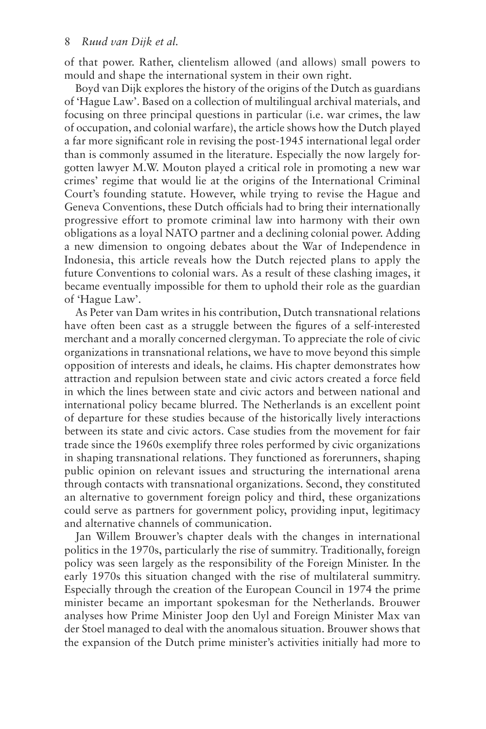of that power. Rather, clientelism allowed (and allows) small powers to mould and shape the international system in their own right.

Boyd van Dijk explores the history of the origins of the Dutch as guardians of 'Hague Law'. Based on a collection of multilingual archival materials, and focusing on three principal questions in particular (i.e. war crimes, the law of occupation, and colonial warfare), the article shows how the Dutch played a far more significant role in revising the post-1945 international legal order than is commonly assumed in the literature. Especially the now largely forgotten lawyer M.W. Mouton played a critical role in promoting a new war crimes' regime that would lie at the origins of the International Criminal Court's founding statute. However, while trying to revise the Hague and Geneva Conventions, these Dutch officials had to bring their internationally progressive effort to promote criminal law into harmony with their own obligations as a loyal NATO partner and a declining colonial power. Adding a new dimension to ongoing debates about the War of Independence in Indonesia, this article reveals how the Dutch rejected plans to apply the future Conventions to colonial wars. As a result of these clashing images, it became eventually impossible for them to uphold their role as the guardian of 'Hague Law'.

As Peter van Dam writes in his contribution, Dutch transnational relations have often been cast as a struggle between the figures of a self-interested merchant and a morally concerned clergyman. To appreciate the role of civic organizations in transnational relations, we have to move beyond this simple opposition of interests and ideals, he claims. His chapter demonstrates how attraction and repulsion between state and civic actors created a force field in which the lines between state and civic actors and between national and international policy became blurred. The Netherlands is an excellent point of departure for these studies because of the historically lively interactions between its state and civic actors. Case studies from the movement for fair trade since the 1960s exemplify three roles performed by civic organizations in shaping transnational relations. They functioned as forerunners, shaping public opinion on relevant issues and structuring the international arena through contacts with transnational organizations. Second, they constituted an alternative to government foreign policy and third, these organizations could serve as partners for government policy, providing input, legitimacy and alternative channels of communication.

Jan Willem Brouwer's chapter deals with the changes in international politics in the 1970s, particularly the rise of summitry. Traditionally, foreign policy was seen largely as the responsibility of the Foreign Minister. In the early 1970s this situation changed with the rise of multilateral summitry. Especially through the creation of the European Council in 1974 the prime minister became an important spokesman for the Netherlands. Brouwer analyses how Prime Minister Joop den Uyl and Foreign Minister Max van der Stoel managed to deal with the anomalous situation. Brouwer shows that the expansion of the Dutch prime minister's activities initially had more to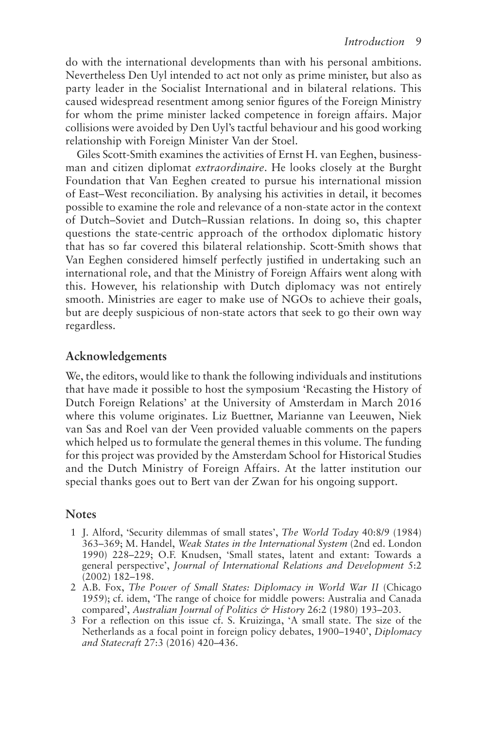do with the international developments than with his personal ambitions. Nevertheless Den Uyl intended to act not only as prime minister, but also as party leader in the Socialist International and in bilateral relations. This caused widespread resentment among senior figures of the Foreign Ministry for whom the prime minister lacked competence in foreign affairs. Major collisions were avoided by Den Uyl's tactful behaviour and his good working relationship with Foreign Minister Van der Stoel.

Giles Scott-Smith examines the activities of Ernst H. van Eeghen, businessman and citizen diplomat *extraordinaire*. He looks closely at the Burght Foundation that Van Eeghen created to pursue his international mission of East–West reconciliation. By analysing his activities in detail, it becomes possible to examine the role and relevance of a non-state actor in the context of Dutch–Soviet and Dutch–Russian relations. In doing so, this chapter questions the state-centric approach of the orthodox diplomatic history that has so far covered this bilateral relationship. Scott-Smith shows that Van Eeghen considered himself perfectly justified in undertaking such an international role, and that the Ministry of Foreign Affairs went along with this. However, his relationship with Dutch diplomacy was not entirely smooth. Ministries are eager to make use of NGOs to achieve their goals, but are deeply suspicious of non-state actors that seek to go their own way regardless.

### **Acknowledgements**

We, the editors, would like to thank the following individuals and institutions that have made it possible to host the symposium 'Recasting the History of Dutch Foreign Relations' at the University of Amsterdam in March 2016 where this volume originates. Liz Buettner, Marianne van Leeuwen, Niek van Sas and Roel van der Veen provided valuable comments on the papers which helped us to formulate the general themes in this volume. The funding for this project was provided by the Amsterdam School for Historical Studies and the Dutch Ministry of Foreign Affairs. At the latter institution our special thanks goes out to Bert van der Zwan for his ongoing support.

### **Notes**

- 1 J. Alford, 'Security dilemmas of small states', *The World Today* 40:8/9 (1984) 363–369; M. Handel, *Weak States in the International System* (2nd ed. London 1990) 228–229; O.F. Knudsen, 'Small states, latent and extant: Towards a general perspective', *Journal of International Relations and Development* 5:2 (2002) 182–198.
- 2 A.B. Fox, *The Power of Small States: Diplomacy in World War II* (Chicago 1959); cf. idem, 'The range of choice for middle powers: Australia and Canada compared', *Australian Journal of Politics & History* 26:2 (1980) 193–203.
- 3 For a reflection on this issue cf. S. Kruizinga, 'A small state. The size of the Netherlands as a focal point in foreign policy debates, 1900–1940', *Diplomacy and Statecraft* 27:3 (2016) 420–436.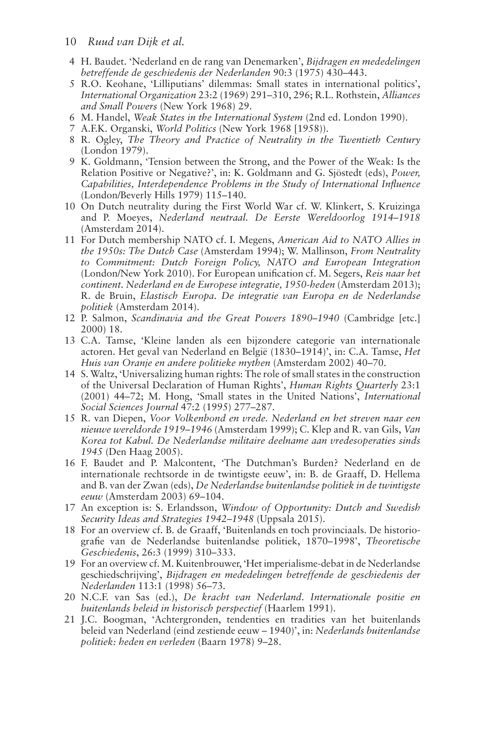- 10 *Ruud van Dijk et al.*
- 4 H. Baudet. 'Nederland en de rang van Denemarken', *Bijdragen en mededelingen betreffende de geschiedenis der Nederlanden* 90:3 (1975) 430–443.
- 5 R.O. Keohane, 'Lilliputians' dilemmas: Small states in international politics', *International Organization* 23:2 (1969) 291–310, 296; R.L. Rothstein, *Alliances and Small Powers* (New York 1968) 29.
- 6 M. Handel, *Weak States in the International System* (2nd ed. London 1990).
- 7 A.F.K. Organski, *World Politics* (New York 1968 [1958)).
- 8 R. Ogley, *The Theory and Practice of Neutrality in the Twentieth Century*  (London 1979).
- 9 K. Goldmann, 'Tension between the Strong, and the Power of the Weak: Is the Relation Positive or Negative?', in: K. Goldmann and G. Sjöstedt (eds), *Power, Capabilities, Interdependence Problems in the Study of International Influence* (London/Beverly Hills 1979) 115–140.
- 10 On Dutch neutrality during the First World War cf. W. Klinkert, S. Kruizinga and P. Moeyes, *Nederland neutraal. De Eerste Wereldoorlog 1914–1918* (Amsterdam 2014).
- 11 For Dutch membership NATO cf. I. Megens, *American Aid to NATO Allies in the 1950s: The Dutch Case* (Amsterdam 1994); W. Mallinson, *From Neutrality to Commitment: Dutch Foreign Policy, NATO and European Integration* (London/New York 2010). For European unification cf. M. Segers, *Reis naar het continent. Nederland en de Europese integratie, 1950-heden* (Amsterdam 2013); R. de Bruin, *Elastisch Europa. De integratie van Europa en de Nederlandse politiek* (Amsterdam 2014).
- 12 P. Salmon, *Scandinavia and the Great Powers 1890–1940* (Cambridge [etc.] 2000) 18.
- 13 C.A. Tamse, 'Kleine landen als een bijzondere categorie van internationale actoren. Het geval van Nederland en België (1830–1914)', in: C.A. Tamse, *Het Huis van Oranje en andere politieke mythen* (Amsterdam 2002) 40–70.
- 14 S. Waltz, 'Universalizing human rights: The role of small states in the construction of the Universal Declaration of Human Rights', *Human Rights Quarterly* 23:1 (2001) 44–72; M. Hong, 'Small states in the United Nations', *International Social Sciences Journal* 47:2 (1995) 277–287.
- 15 R. van Diepen, *Voor Volkenbond en vrede. Nederland en het streven naar een nieuwe wereldorde 1919–1946* (Amsterdam 1999); C. Klep and R. van Gils, *Van Korea tot Kabul. De Nederlandse militaire deelname aan vredesoperaties sinds 1945* (Den Haag 2005).
- 16 F. Baudet and P. Malcontent, 'The Dutchman's Burden? Nederland en de internationale rechtsorde in de twintigste eeuw', in: B. de Graaff, D. Hellema and B. van der Zwan (eds), *De Nederlandse buitenlandse politiek in de twintigste eeuw* (Amsterdam 2003) 69–104.
- 17 An exception is: S. Erlandsson, *Window of Opportunity: Dutch and Swedish Security Ideas and Strategies 1942–1948* (Uppsala 2015).
- 18 For an overview cf. B. de Graaff, 'Buitenlands en toch provinciaals. De historiografie van de Nederlandse buitenlandse politiek, 1870–1998', *Theoretische Geschiedenis*, 26:3 (1999) 310–333.
- 19 For an overview cf. M. Kuitenbrouwer, 'Het imperialisme-debat in de Nederlandse geschiedschrijving', *Bijdragen en mededelingen betreffende de geschiedenis der Nederlanden* 113:1 (1998) 56–73.
- 20 N.C.F. van Sas (ed.), *De kracht van Nederland. Internationale positie en buitenlands beleid in historisch perspectief* (Haarlem 1991).
- 21 J.C. Boogman, 'Achtergronden, tendenties en tradities van het buitenlands beleid van Nederland (eind zestiende eeuw – 1940)', in: *Nederlands buitenlandse politiek: heden en verleden* (Baarn 1978) 9–28.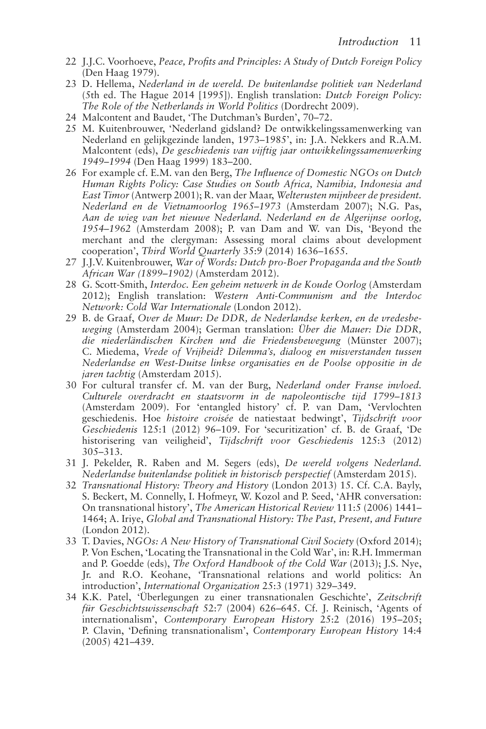- 22 J.J.C. Voorhoeve, *Peace, Profits and Principles: A Study of Dutch Foreign Policy*  (Den Haag 1979).
- 23 D. Hellema, *Nederland in de wereld. De buitenlandse politiek van Nederland* (5th ed. The Hague 2014 [1995]). English translation: *Dutch Foreign Policy: The Role of the Netherlands in World Politics* (Dordrecht 2009).
- 24 Malcontent and Baudet, 'The Dutchman's Burden', 70–72.
- 25 M. Kuitenbrouwer, 'Nederland gidsland? De ontwikkelingssamenwerking van Nederland en gelijkgezinde landen, 1973–1985', in: J.A. Nekkers and R.A.M. Malcontent (eds), *De geschiedenis van vijftig jaar ontwikkelingssamenwerking 1949–1994* (Den Haag 1999) 183–200.
- 26 For example cf. E.M. van den Berg, *The Influence of Domestic NGOs on Dutch Human Rights Policy: Case Studies on South Africa, Namibia, Indonesia and East Timor* (Antwerp 2001); R. van der Maar, *Welterusten mijnheer de president. Nederland en de Vietnamoorlog 1965–1973* (Amsterdam 2007); N.G. Pas, *Aan de wieg van het nieuwe Nederland. Nederland en de Algerijnse oorlog, 1954–1962* (Amsterdam 2008); P. van Dam and W. van Dis, 'Beyond the merchant and the clergyman: Assessing moral claims about development cooperation', *Third World Quarterly* 35:9 (2014) 1636–1655.
- 27 J.J.V. Kuitenbrouwer, *War of Words: Dutch pro-Boer Propaganda and the South African War (1899–1902)* (Amsterdam 2012).
- 28 G. Scott-Smith, *Interdoc. Een geheim netwerk in de Koude Oorlog* (Amsterdam 2012); English translation: *Western Anti-Communism and the Interdoc Network: Cold War Internationale* (London 2012).
- 29 B. de Graaf, *Over de Muur: De DDR, de Nederlandse kerken, en de vredesbeweging* (Amsterdam 2004); German translation: *Über die Mauer: Die DDR, die niederländischen Kirchen und die Friedensbewegung* (Münster 2007); C. Miedema, *Vrede of Vrijheid? Dilemma's, dialoog en misverstanden tussen Nederlandse en West-Duitse linkse organisaties en de Poolse oppositie in de jaren tachtig* (Amsterdam 2015).
- 30 For cultural transfer cf. M. van der Burg, *Nederland onder Franse invloed. Culturele overdracht en staatsvorm in de napoleontische tijd 1799–1813* (Amsterdam 2009). For 'entangled history' cf. P. van Dam, 'Vervlochten geschiedenis. Hoe *histoire croisée* de natiestaat bedwingt', *Tijdschrift voor Geschiedenis* 125:1 (2012) 96–109. For 'securitization' cf. B. de Graaf, 'De historisering van veiligheid', *Tijdschrift voor Geschiedenis* 125:3 (2012) 305–313.
- 31 J. Pekelder, R. Raben and M. Segers (eds), *De wereld volgens Nederland. Nederlandse buitenlandse politiek in historisch perspectief* (Amsterdam 2015).
- 32 *Transnational History: Theory and History* (London 2013) 15. Cf. C.A. Bayly, S. Beckert, M. Connelly, I. Hofmeyr, W. Kozol and P. Seed, 'AHR conversation: On transnational history', *The American Historical Review* 111:5 (2006) 1441– 1464; A. Iriye, *Global and Transnational History: The Past, Present, and Future* (London 2012).
- 33 T. Davies, *NGOs: A New History of Transnational Civil Society* (Oxford 2014); P. Von Eschen, 'Locating the Transnational in the Cold War', in: R.H. Immerman and P. Goedde (eds), *The Oxford Handbook of the Cold War* (2013); J.S. Nye, Jr. and R.O. Keohane, 'Transnational relations and world politics: An introduction', *International Organization* 25:3 (1971) 329–349.
- 34 K.K. Patel, 'Überlegungen zu einer transnationalen Geschichte', *Zeitschrift für Geschichtswissenschaft* 52:7 (2004) 626–645. Cf. J. Reinisch, 'Agents of internationalism', *Contemporary European History* 25:2 (2016) 195–205; P. Clavin, 'Defining transnationalism', *Contemporary European History* 14:4 (2005) 421–439.